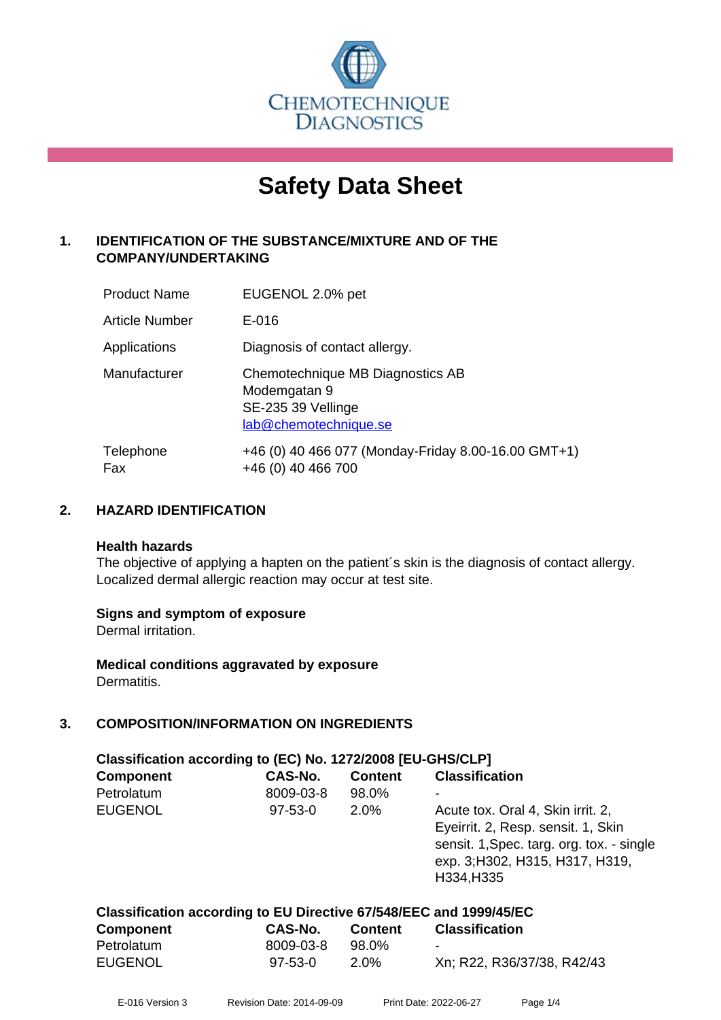

# **Safety Data Sheet**

# **1. IDENTIFICATION OF THE SUBSTANCE/MIXTURE AND OF THE COMPANY/UNDERTAKING**

| <b>Product Name</b>   | EUGENOL 2.0% pet                                                                                |
|-----------------------|-------------------------------------------------------------------------------------------------|
| <b>Article Number</b> | E-016                                                                                           |
| Applications          | Diagnosis of contact allergy.                                                                   |
| Manufacturer          | Chemotechnique MB Diagnostics AB<br>Modemgatan 9<br>SE-235 39 Vellinge<br>lab@chemotechnique.se |
| Telephone<br>Fax      | +46 (0) 40 466 077 (Monday-Friday 8.00-16.00 GMT+1)<br>+46 (0) 40 466 700                       |

### **2. HAZARD IDENTIFICATION**

#### **Health hazards**

The objective of applying a hapten on the patient's skin is the diagnosis of contact allergy. Localized dermal allergic reaction may occur at test site.

#### **Signs and symptom of exposure**

Dermal irritation.

**Medical conditions aggravated by exposure** Dermatitis.

# **3. COMPOSITION/INFORMATION ON INGREDIENTS**

| Classification according to (EC) No. 1272/2008 [EU-GHS/CLP] |               |                |                                                                                                                                                                       |  |
|-------------------------------------------------------------|---------------|----------------|-----------------------------------------------------------------------------------------------------------------------------------------------------------------------|--|
| <b>Component</b>                                            | CAS-No.       | <b>Content</b> | <b>Classification</b>                                                                                                                                                 |  |
| Petrolatum                                                  | 8009-03-8     | 98.0%          |                                                                                                                                                                       |  |
| <b>EUGENOL</b>                                              | $97 - 53 - 0$ | 2.0%           | Acute tox. Oral 4, Skin irrit. 2,<br>Eyeirrit. 2, Resp. sensit. 1, Skin<br>sensit. 1, Spec. targ. org. tox. - single<br>exp. 3; H302, H315, H317, H319,<br>H334, H335 |  |

| Classification according to EU Directive 67/548/EEC and 1999/45/EC |               |                |                            |  |
|--------------------------------------------------------------------|---------------|----------------|----------------------------|--|
| <b>Component</b>                                                   | CAS-No.       | <b>Content</b> | <b>Classification</b>      |  |
| Petrolatum                                                         | 8009-03-8     | 98.0%          | -                          |  |
| <b>EUGENOL</b>                                                     | $97 - 53 - 0$ | $2.0\%$        | Xn; R22, R36/37/38, R42/43 |  |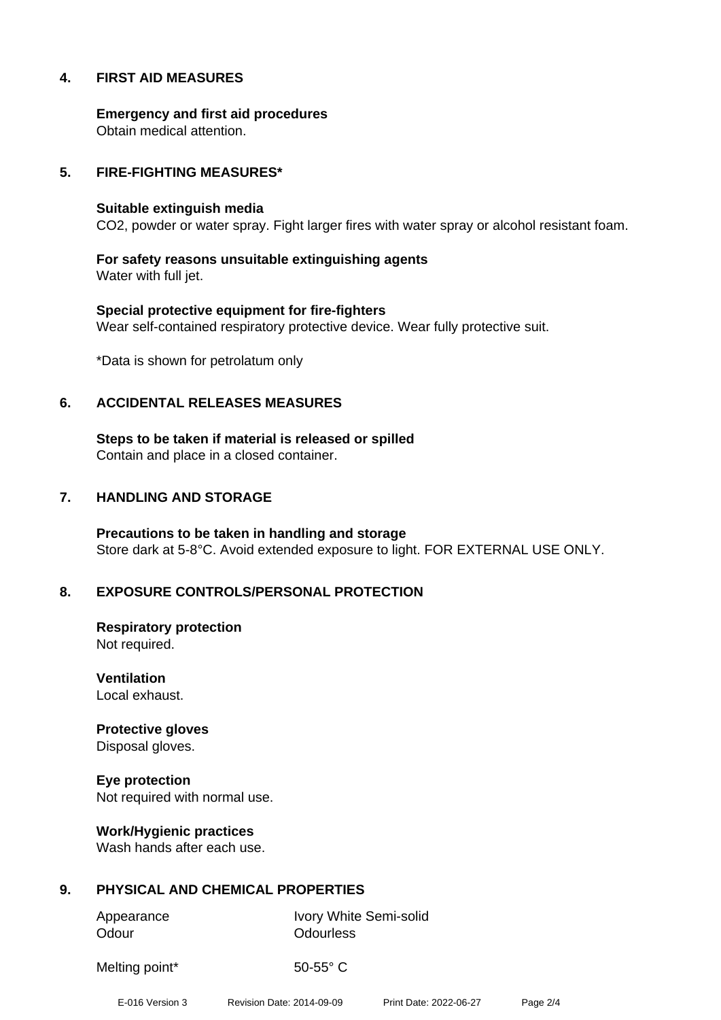#### **4. FIRST AID MEASURES**

**Emergency and first aid procedures** Obtain medical attention.

#### **5. FIRE-FIGHTING MEASURES\***

#### **Suitable extinguish media**

CO2, powder or water spray. Fight larger fires with water spray or alcohol resistant foam.

**For safety reasons unsuitable extinguishing agents** Water with full jet.

**Special protective equipment for fire-fighters** Wear self-contained respiratory protective device. Wear fully protective suit.

\*Data is shown for petrolatum only

#### **6. ACCIDENTAL RELEASES MEASURES**

**Steps to be taken if material is released or spilled** Contain and place in a closed container.

#### **7. HANDLING AND STORAGE**

**Precautions to be taken in handling and storage** Store dark at 5-8°C. Avoid extended exposure to light. FOR EXTERNAL USE ONLY.

#### **8. EXPOSURE CONTROLS/PERSONAL PROTECTION**

**Respiratory protection** Not required.

**Ventilation** Local exhaust.

**Protective gloves** Disposal gloves.

**Eye protection** Not required with normal use.

**Work/Hygienic practices** Wash hands after each use.

#### **9. PHYSICAL AND CHEMICAL PROPERTIES**

Odour **Odourless** 

Appearance Ivory White Semi-solid

Melting point\* 50-55° C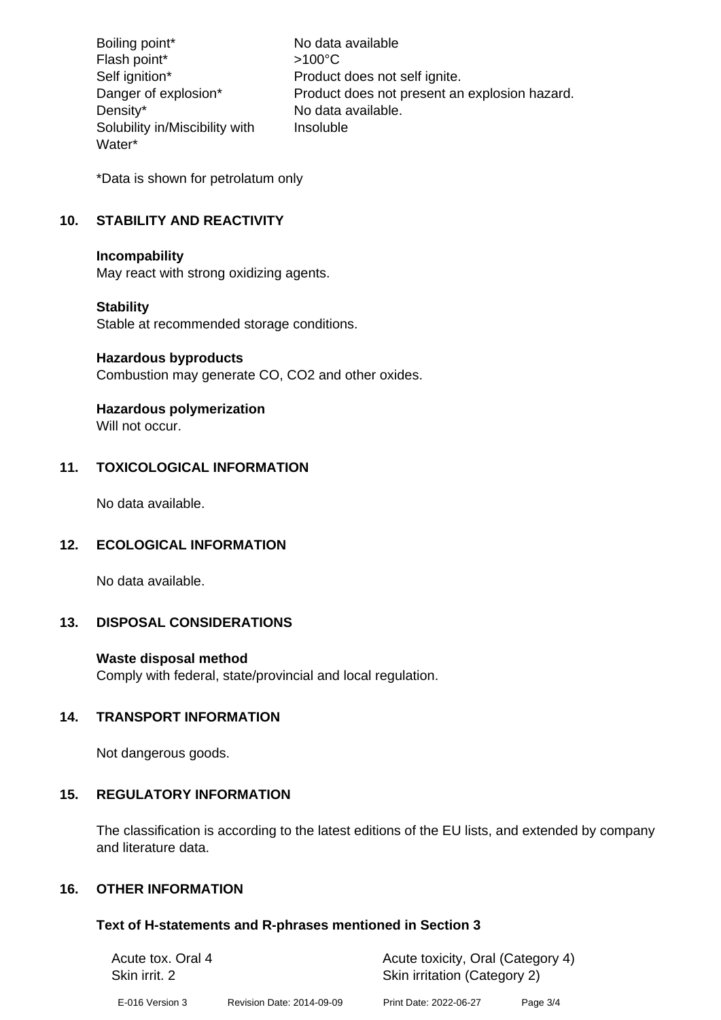Boiling point\* No data available Flash point\*  $>100^{\circ}$ C Self ignition\* Product does not self ignite. Danger of explosion\* Product does not present an explosion hazard. Density\* No data available. Solubility in/Miscibility with Water\* Insoluble

\*Data is shown for petrolatum only

# **10. STABILITY AND REACTIVITY**

#### **Incompability**

May react with strong oxidizing agents.

#### **Stability**

Stable at recommended storage conditions.

#### **Hazardous byproducts**

Combustion may generate CO, CO2 and other oxides.

# **Hazardous polymerization**

Will not occur.

## **11. TOXICOLOGICAL INFORMATION**

No data available.

#### **12. ECOLOGICAL INFORMATION**

No data available.

#### **13. DISPOSAL CONSIDERATIONS**

#### **Waste disposal method**

Comply with federal, state/provincial and local regulation.

#### **14. TRANSPORT INFORMATION**

Not dangerous goods.

#### **15. REGULATORY INFORMATION**

The classification is according to the latest editions of the EU lists, and extended by company and literature data.

## **16. OTHER INFORMATION**

#### **Text of H-statements and R-phrases mentioned in Section 3**

| Acute tox. Oral 4 |                           | Acute toxicity, Oral (Category 4) |          |  |
|-------------------|---------------------------|-----------------------------------|----------|--|
| Skin irrit. 2     |                           | Skin irritation (Category 2)      |          |  |
| E-016 Version 3   | Revision Date: 2014-09-09 | Print Date: 2022-06-27            | Page 3/4 |  |